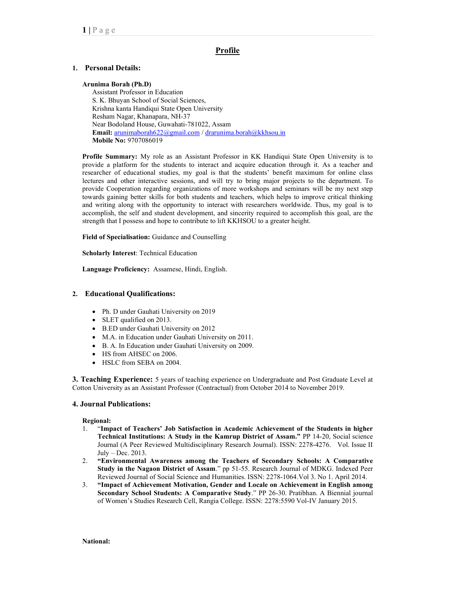# <u>Profile</u>

# 1. Personal Details:

#### Arunima Borah (Ph.D)

Assistant Professor in Education S. K. Bhuyan School of Social Sciences, Krishna kanta Handiqui State Open University Resham Nagar, Khanapara, NH-37 Near Bodoland House, Guwahati-781022, Assam Email: arunimaborah622@gmail.com / drarunima.borah@kkhsou.in Mobile No: 9707086019

 Profile Summary: My role as an Assistant Professor in KK Handiqui State Open University is to provide a platform for the students to interact and acquire education through it. As a teacher and researcher of educational studies, my goal is that the students' benefit maximum for online class lectures and other interactive sessions, and will try to bring major projects to the department. To provide Cooperation regarding organizations of more workshops and seminars will be my next step towards gaining better skills for both students and teachers, which helps to improve critical thinking and writing along with the opportunity to interact with researchers worldwide. Thus, my goal is to accomplish, the self and student development, and sincerity required to accomplish this goal, are the strength that I possess and hope to contribute to lift KKHSOU to a greater height.

Field of Specialisation: Guidance and Counselling

Scholarly Interest: Technical Education

Language Proficiency: Assamese, Hindi, English.

# 2. Educational Qualifications:

- Ph. D under Gauhati University on 2019
- SLET qualified on 2013.
- B.ED under Gauhati University on 2012
- M.A. in Education under Gauhati University on 2011.
- B. A. In Education under Gauhati University on 2009.
- HS from AHSEC on 2006.
- HSLC from SEBA on 2004.

3. Teaching Experience: 5 years of teaching experience on Undergraduate and Post Graduate Level at Cotton University as an Assistant Professor (Contractual) from October 2014 to November 2019.

# 4. Journal Publications:

#### Regional:

- 1. "Impact of Teachers' Job Satisfaction in Academic Achievement of the Students in higher Technical Institutions: A Study in the Kamrup District of Assam." PP 14-20, Social science Journal (A Peer Reviewed Multidisciplinary Research Journal). ISSN: 2278-4276. Vol. Issue II July – Dec. 2013.
- 2. "Environmental Awareness among the Teachers of Secondary Schools: A Comparative Study in the Nagaon District of Assam." pp 51-55. Research Journal of MDKG. Indexed Peer Reviewed Journal of Social Science and Humanities. ISSN: 2278-1064.Vol 3. No 1. April 2014.
- 3. "Impact of Achievement Motivation, Gender and Locale on Achievement in English among Secondary School Students: A Comparative Study." PP 26-30. Pratibhan. A Biennial journal of Women's Studies Research Cell, Rangia College. ISSN: 2278:5590 Vol-IV January 2015.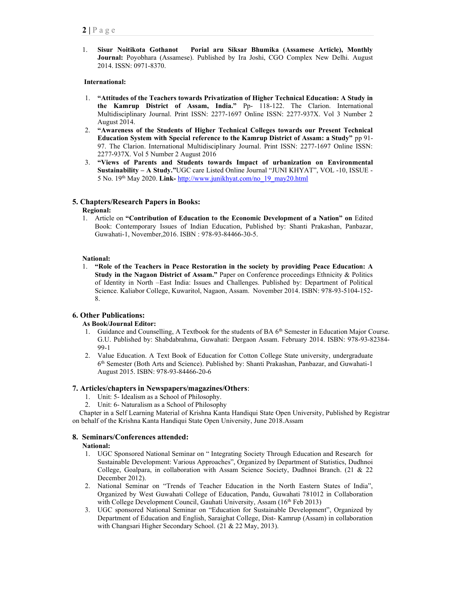1. Sisur Noitikota Gothanot Porial aru Siksar Bhumika (Assamese Article), Monthly Journal: Poyobhara (Assamese). Published by Ira Joshi, CGO Complex New Delhi. August 2014. ISSN: 0971-8370.

#### International:

- 1. "Attitudes of the Teachers towards Privatization of Higher Technical Education: A Study in the Kamrup District of Assam, India." Pp- 118-122. The Clarion. International Multidisciplinary Journal. Print ISSN: 2277-1697 Online ISSN: 2277-937X. Vol 3 Number 2 August 2014.
- 2. "Awareness of the Students of Higher Technical Colleges towards our Present Technical Education System with Special reference to the Kamrup District of Assam: a Study" pp 91- 97. The Clarion. International Multidisciplinary Journal. Print ISSN: 2277-1697 Online ISSN: 2277-937X. Vol 5 Number 2 August 2016
- 3. "Views of Parents and Students towards Impact of urbanization on Environmental Sustainability – A Study."UGC care Listed Online Journal "JUNI KHYAT", VOL -10, ISSUE - 5 No. 19<sup>th</sup> May 2020. Link- http://www.junikhyat.com/no\_19\_may20.html

# 5. Chapters/Research Papers in Books:

### Regional:

1. Article on "Contribution of Education to the Economic Development of a Nation" on Edited Book: Contemporary Issues of Indian Education, Published by: Shanti Prakashan, Panbazar, Guwahati-1, November,2016. ISBN : 978-93-84466-30-5.

### National:

1. "Role of the Teachers in Peace Restoration in the society by providing Peace Education: A Study in the Nagaon District of Assam." Paper on Conference proceedings Ethnicity & Politics of Identity in North –East India: Issues and Challenges. Published by: Department of Political Science. Kaliabor College, Kuwaritol, Nagaon, Assam. November 2014. ISBN: 978-93-5104-152- 8.

# 6. Other Publications:

# As Book/Journal Editor:

- 1. Guidance and Counselling, A Textbook for the students of BA 6<sup>th</sup> Semester in Education Major Course. G.U. Published by: Shabdabrahma, Guwahati: Dergaon Assam. February 2014. ISBN: 978-93-82384- 99-1
- 2. Value Education. A Text Book of Education for Cotton College State university, undergraduate 6 th Semester (Both Arts and Science). Published by: Shanti Prakashan, Panbazar, and Guwahati-1 August 2015. ISBN: 978-93-84466-20-6

# 7. Articles/chapters in Newspapers/magazines/Others:

- 1. Unit: 5- Idealism as a School of Philosophy.
- 2. Unit: 6- Naturalism as a School of Philosophy

 Chapter in a Self Learning Material of Krishna Kanta Handiqui State Open University, Published by Registrar on behalf of the Krishna Kanta Handiqui State Open University, June 2018.Assam

# 8. Seminars/Conferences attended:

#### National:

- 1. UGC Sponsored National Seminar on " Integrating Society Through Education and Research for Sustainable Development: Various Approaches", Organized by Department of Statistics, Dudhnoi College, Goalpara, in collaboration with Assam Science Society, Dudhnoi Branch. (21 & 22 December 2012).
- 2. National Seminar on "Trends of Teacher Education in the North Eastern States of India", Organized by West Guwahati College of Education, Pandu, Guwahati 781012 in Collaboration with College Development Council, Gauhati University, Assam (16<sup>th</sup> Feb 2013)
- 3. UGC sponsored National Seminar on "Education for Sustainable Development", Organized by Department of Education and English, Saraighat College, Dist- Kamrup (Assam) in collaboration with Changsari Higher Secondary School. (21 & 22 May, 2013).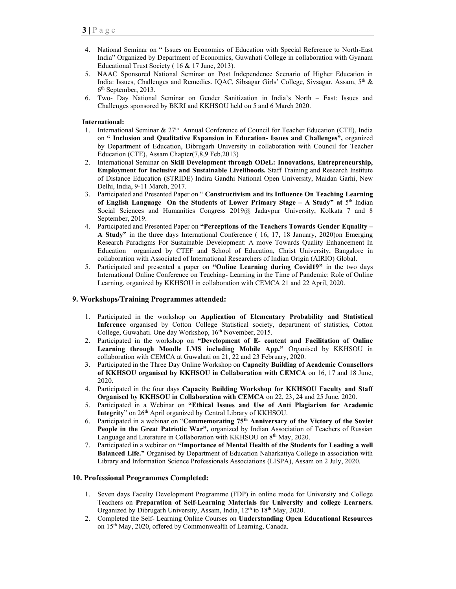- 4. National Seminar on " Issues on Economics of Education with Special Reference to North-East India" Organized by Department of Economics, Guwahati College in collaboration with Gyanam Educational Trust Society ( 16 & 17 June, 2013).
- 5. NAAC Sponsored National Seminar on Post Independence Scenario of Higher Education in India: Issues, Challenges and Remedies. IQAC, Sibsagar Girls' College, Sivsagar, Assam, 5<sup>th</sup> & 6 th September, 2013.
- 6. Two- Day National Seminar on Gender Sanitization in India's North East: Issues and Challenges sponsored by BKRI and KKHSOU held on 5 and 6 March 2020.

#### International:

- 1. International Seminar  $\& 27<sup>th</sup>$  Annual Conference of Council for Teacher Education (CTE), India on " Inclusion and Qualitative Expansion in Education- Issues and Challenges", organized by Department of Education, Dibrugarh University in collaboration with Council for Teacher Education (CTE), Assam Chapter(7,8,9 Feb,2013)
- 2. International Seminar on Skill Development through ODeL: Innovations, Entrepreneurship, Employment for Inclusive and Sustainable Livelihoods. Staff Training and Research Institute of Distance Education (STRIDE) Indira Gandhi National Open University, Maidan Garhi, New Delhi, India, 9-11 March, 2017.
- 3. Participated and Presented Paper on " Constructivism and its Influence On Teaching Learning of English Language On the Students of Lower Primary Stage  $-$  A Study" at  $5<sup>th</sup>$  Indian Social Sciences and Humanities Congress 2019@ Jadavpur University, Kolkata 7 and 8 September, 2019.
- 4. Participated and Presented Paper on "Perceptions of the Teachers Towards Gender Equality -A Study" in the three days International Conference ( 16, 17, 18 January, 2020)on Emerging Research Paradigms For Sustainable Development: A move Towards Quality Enhancement In Education organized by CTEF and School of Education, Christ University, Bangalore in collaboration with Associated of International Researchers of Indian Origin (AIRIO) Global.
- 5. Participated and presented a paper on "Online Learning during Covid19" in the two days International Online Conference on Teaching- Learning in the Time of Pandemic: Role of Online Learning, organized by KKHSOU in collaboration with CEMCA 21 and 22 April, 2020.

#### 9. Workshops/Training Programmes attended:

- 1. Participated in the workshop on Application of Elementary Probability and Statistical Inference organised by Cotton College Statistical society, department of statistics, Cotton College, Guwahati. One day Workshop, 16<sup>th</sup> November, 2015.
- 2. Participated in the workshop on "Development of E- content and Facilitation of Online Learning through Moodle LMS including Mobile App." Organised by KKHSOU in collaboration with CEMCA at Guwahati on 21, 22 and 23 February, 2020.
- 3. Participated in the Three Day Online Workshop on Capacity Building of Academic Counsellors of KKHSOU organised by KKHSOU in Collaboration with CEMCA on 16, 17 and 18 June, 2020.
- 4. Participated in the four days Capacity Building Workshop for KKHSOU Faculty and Staff Organised by KKHSOU in Collaboration with CEMCA on 22, 23, 24 and 25 June, 2020.
- 5. Participated in a Webinar on "Ethical Issues and Use of Anti Plagiarism for Academic Integrity" on 26<sup>th</sup> April organized by Central Library of KKHSOU.
- 6. Participated in a webinar on "Commemorating 75th Anniversary of the Victory of the Soviet People in the Great Patriotic War", organized by Indian Association of Teachers of Russian Language and Literature in Collaboration with KKHSOU on 8<sup>th</sup> May, 2020.
- 7. Participated in a webinar on "Importance of Mental Health of the Students for Leading a well Balanced Life." Organised by Department of Education Naharkatiya College in association with Library and Information Science Professionals Associations (LISPA), Assam on 2 July, 2020.

#### 10. Professional Programmes Completed:

- 1. Seven days Faculty Development Programme (FDP) in online mode for University and College Teachers on Preparation of Self-Learning Materials for University and college Learners. Organized by Dibrugarh University, Assam, India, 12<sup>th</sup> to 18<sup>th</sup> May, 2020.
- 2. Completed the Self- Learning Online Courses on Understanding Open Educational Resources on 15<sup>th</sup> May, 2020, offered by Commonwealth of Learning, Canada.